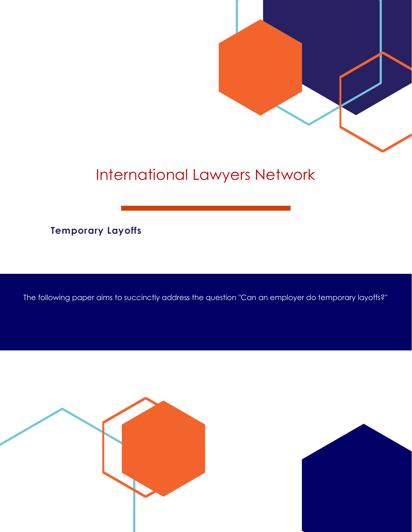

# International Lawyers Network

**Temporary Layoffs**

The following paper aims to succinctly address the question "Can an employer do temporary layoffs?"



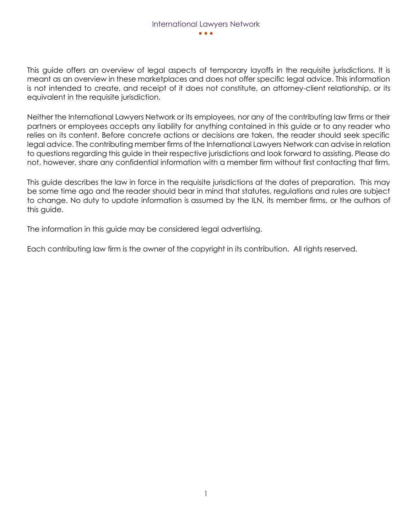This guide offers an overview of legal aspects of temporary layoffs in the requisite jurisdictions. It is meant as an overview in these marketplaces and does not offer specific legal advice. This information is not intended to create, and receipt of it does not constitute, an attorney-client relationship, or its equivalent in the requisite jurisdiction.

Neither the International Lawyers Network or its employees, nor any of the contributing law firms or their partners or employees accepts any liability for anything contained in this guide or to any reader who relies on its content. Before concrete actions or decisions are taken, the reader should seek specific legal advice. The contributing member firms of the International Lawyers Network can advise in relation to questions regarding this guide in their respective jurisdictions and look forward to assisting. Please do not, however, share any confidential information with a member firm without first contacting that firm.

This guide describes the law in force in the requisite jurisdictions at the dates of preparation. This may be some time ago and the reader should bear in mind that statutes, regulations and rules are subject to change. No duty to update information is assumed by the ILN, its member firms, or the authors of this guide.

The information in this guide may be considered legal advertising.

Each contributing law firm is the owner of the copyright in its contribution. All rights reserved.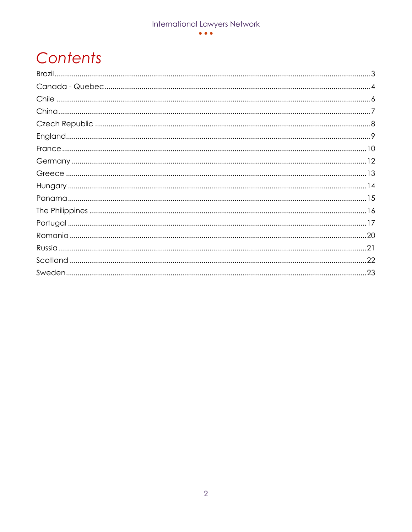#### $\bullet\bullet\bullet$

# Contents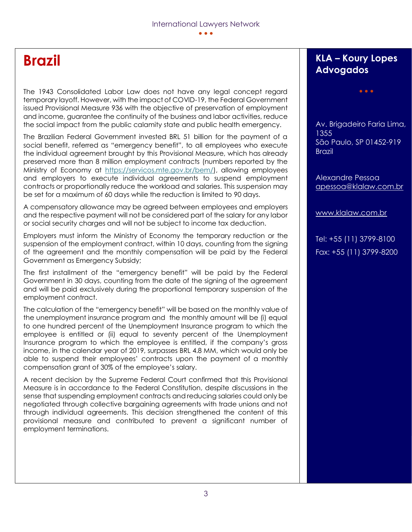### **Brazil**

The 1943 Consolidated Labor Law does not have any legal concept regard temporary layoff. However, with the impact of COVID-19, the Federal Government issued Provisional Measure 936 with the objective of preservation of employment and income, guarantee the continuity of the business and labor activities, reduce the social impact from the public calamity state and public health emergency.

The Brazilian Federal Government invested BRL 51 billion for the payment of a social benefit, referred as "emergency benefit", to all employees who execute the individual agreement brought by this Provisional Measure, which has already preserved more than 8 million employment contracts (numbers reported by the Ministry of Economy at [https://servicos.mte.gov.br/bem/\)](https://servicos.mte.gov.br/bem/), allowing employees and employers to execute individual agreements to suspend employment contracts or proportionally reduce the workload and salaries. This suspension may be set for a maximum of 60 days while the reduction is limited to 90 days.

A compensatory allowance may be agreed between employees and employers and the respective payment will not be considered part of the salary for any labor or social security charges and will not be subject to income tax deduction.

Employers must inform the Ministry of Economy the temporary reduction or the suspension of the employment contract, within 10 days, counting from the signing of the agreement and the monthly compensation will be paid by the Federal Government as Emergency Subsidy;

The first installment of the "emergency benefit" will be paid by the Federal Government in 30 days, counting from the date of the signing of the agreement and will be paid exclusively during the proportional temporary suspension of the employment contract.

The calculation of the "emergency benefit" will be based on the monthly value of the unemployment insurance program and the monthly amount will be (i) equal to one hundred percent of the Unemployment Insurance program to which the employee is entitled or (ii) equal to seventy percent of the Unemployment Insurance program to which the employee is entitled, if the company's gross income, in the calendar year of 2019, surpasses BRL 4.8 MM, which would only be able to suspend their employees' contracts upon the payment of a monthly compensation grant of 30% of the employee's salary.

A recent decision by the Supreme Federal Court confirmed that this Provisional Measure is in accordance to the Federal Constitution, despite discussions in the sense that suspending employment contracts and reducing salaries could only be negotiated through collective bargaining agreements with trade unions and not through individual agreements. This decision strengthened the content of this provisional measure and contributed to prevent a significant number of employment terminations.

#### **KLA – Koury Lopes Advogados**

• • •

Av. Brigadeiro Faria Lima, 1355 São Paulo, SP 01452-919 **Brazil** 

Alexandre Pessoa [apessoa@klalaw.com.br](mailto:apessoa@klalaw.com.br)

[www.klalaw.com.br](http://www.klalaw.com.br/)

Tel: +55 (11) 3799-8100 Fax: +55 (11) 3799-8200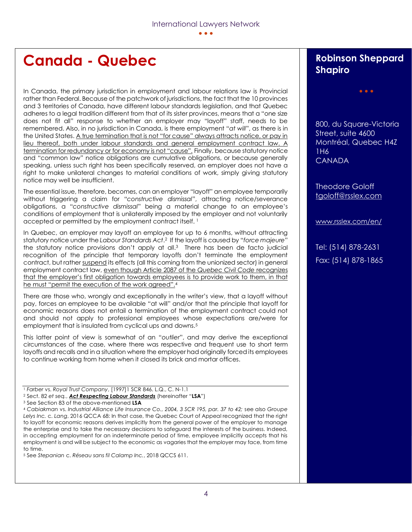## **Canada - Quebec**

In Canada, the primary jurisdiction in employment and labour relations law is Provincial rather than Federal. Because of the patchwork of jurisdictions, the fact that the 10 provinces and 3 territories of Canada, have different labour standards legislation, and that Quebec adheres to a legal tradition different from that of its sister provinces, means that a "one size does not fit all" response to whether an employer may "layoff" staff, needs to be remembered. Also, in no jurisdiction in Canada, is there employment "*at will*", as there is in the United States. A true termination that is not "for cause" always attracts notice, or pay in lieu thereof, both under labour standards and general employment contract law. A termination for redundancy or for economy is not "cause". Finally, because statutory notice and "common law" notice obligations are cumulative obligations, or because generally speaking, unless such right has been specifically reserved, an employer does not have a right to make unilateral changes to material conditions of work, simply giving statutory notice may well be insufficient.

The essential issue, therefore, becomes, can an employer "layoff" an employee temporarily without triggering a claim for "*constructive dismissal*", attracting notice/severance obligations, a "*constructive dismissal*" being a material change to an employee's conditions of employment that is unilaterally imposed by the employer and not voluntarily accepted or permitted by the employment contract itself. <sup>1</sup>

In Quebec, an employer may layoff an employee for up to 6 months, without attracting statutory notice under the *Labour Standards Act*. <sup>2</sup> If the layoff is caused by "*force majeure*" the statutory notice provisions don't apply at all.3 There has been de facto judicial recognition of the principle that temporary layoffs don't terminate the employment contract, but rather suspend its effects (all this coming from the unionized sector) in general employment contract law, even though Article 2087 of the *Quebec Civil Code* recognizes that the employer's first obligation towards employees is to provide work to them, in that he must "permit the execution of the work agreed".<sup>4</sup>

There are those who, wrongly and exceptionally in the writer's view, that a layoff without pay, forces an employee to be available "at will" and/or that the principle that layoff for economic reasons does not entail a termination of the employment contract could not and should not apply to professional employees whose expectations are/were for employment that is insulated from cyclical ups and downs.<sup>5</sup>

This latter point of view is somewhat of an "*outlier*", and may derive the exceptional circumstances of the case, where there was respective and frequent use to short term layoffs and recalls and in a situation where the employer had originally forced its employees to continue working from home when it closed its brick and mortar offices.

<sup>5</sup> See *Stepanian* c. *Réseau sans fil Calamp Inc.*, 2018 QCCS 611.

#### **Robinson Sheppard Shapiro**

• • •

800, du Square-Victoria Street, suite 4600 Montréal, Quebec H4Z 1H6 CANADA

Theodore Goloff [tgoloff@rsslex.com](mailto:tgoloff@rsslex.com)

[www.rsslex.com/en/](http://www.rsslex.com/en/)

Tel: (514) 878-2631 Fax: (514) 878-1865

<sup>1</sup> *Farber* vs. *Royal Trust Company*, [1997]1 SCR 846. L.Q., C. N-1.1

<sup>2</sup> Sect. 82 *et seq.*, *Act Respecting Labour Standards* (hereinafter "**LSA**")

<sup>3</sup> See Section 83 of the above-mentioned **LSA**

<sup>4</sup> *Cabiakman* vs. *Industrial Alliance Life Insurance Co., 2004, 3 SCR 195, par. 37 to 42;* see also *Groupe Lelys Inc.* c. *Lang*, 2016 QCCA 68: In that case, the Quebec Court of Appeal recognized that the right to layoff for economic reasons derives implicitly from the general power of the employer to manage the enterprise and to take the necessary decisions to safeguard the interests of the business. Indeed, in accepting employment for an indeterminate period of time, employee implicitly accepts that his employment is and will be subject to the economic as vagaries that the employer may face, from time to time.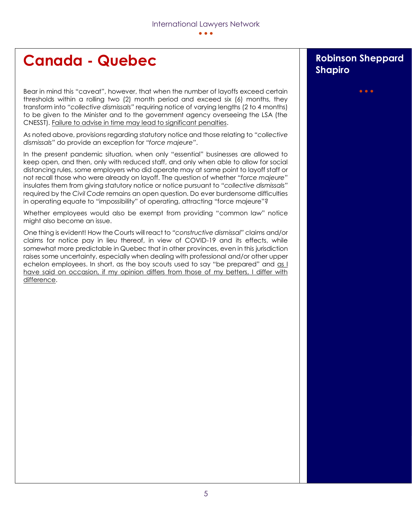# **Canada - Quebec Robinson Sheppard**

Bear in mind this "caveat", however, that when the number of layoffs exceed certain thresholds within a rolling two (2) month period and exceed six (6) months, they transform into *"collective dismissals"* requiring notice of varying lengths (2 to 4 months) to be given to the Minister and to the government agency overseeing the LSA (the CNESST). Failure to advise in time may lead to significant penalties.

As noted above, provisions regarding statutory notice and those relating to *"collective dismissals"* do provide an exception for *"force majeure"*.

In the present pandemic situation, when only "essential" businesses are allowed to keep open, and then, only with reduced staff, and only when able to allow for social distancing rules, some employers who did operate may at same point to layoff staff or not recall those who were already on layoff. The question of whether *"force majeure"* insulates them from giving statutory notice or notice pursuant to *"collective dismissals"* required by the *Civil Code* remains an open question. Do ever burdensome difficulties in operating equate to "impossibility" of operating, attracting "force majeure"?

Whether employees would also be exempt from providing "common law" notice might also become an issue.

One thing is evident! How the Courts will react to *"constructive dismissal"* claims and/or claims for notice pay in lieu thereof, in view of COVID-19 and its effects, while somewhat more predictable in Quebec that in other provinces, even in this jurisdiction raises some uncertainty, especially when dealing with professional and/or other upper echelon employees. In short, as the boy scouts used to say "be prepared" and as I have said on occasion, if my opinion differs from those of my betters, I differ with difference.

# **Shapiro**

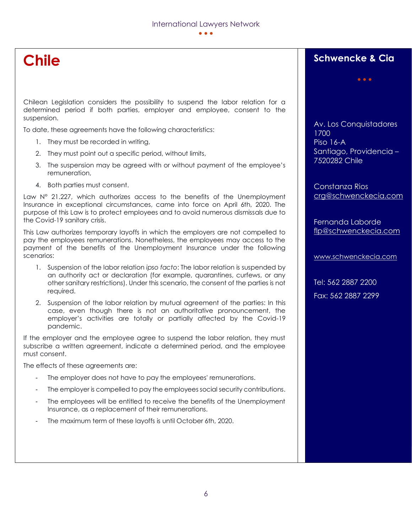# **Chile**

Chilean Legislation considers the possibility to suspend the labor relation for a determined period if both parties, employer and employee, consent to the suspension.

To date, these agreements have the following characteristics:

- 1. They must be recorded in writing,
- 2. They must point out a specific period, without limits,
- 3. The suspension may be agreed with or without payment of the employee's remuneration,
- 4. Both parties must consent.

Law N° 21.227, which authorizes access to the benefits of the Unemployment Insurance in exceptional circumstances, came into force on April 6th, 2020. The purpose of this Law is to protect employees and to avoid numerous dismissals due to the Covid-19 sanitary crisis.

This Law authorizes temporary layoffs in which the employers are not compelled to pay the employees remunerations. Nonetheless, the employees may access to the payment of the benefits of the Unemployment Insurance under the following scenarios:

- 1. Suspension of the labor relation *ipso facto*: The labor relation is suspended by an authority act or declaration (for example, quarantines, curfews, or any other sanitary restrictions). Under this scenario, the consent of the parties is not required.
- 2. Suspension of the labor relation by mutual agreement of the parties: In this case, even though there is not an authoritative pronouncement, the employer's activities are totally or partially affected by the Covid-19 pandemic.

If the employer and the employee agree to suspend the labor relation, they must subscribe a written agreement, indicate a determined period, and the employee must consent.

The effects of these agreements are:

- The employer does not have to pay the employees' remunerations.
- The employer is compelled to pay the employees social security contributions.
- The employees will be entitled to receive the benefits of the Unemployment Insurance, as a replacement of their remunerations.
- The maximum term of these layoffs is until October 6th, 2020.

### **Schwencke & Cia**

Av. Los Conquistadores 1700 Piso 16-A Santiago, Providencia – 7520282 Chile

Constanza Rios [crg@schwenckecia.com](mailto:crg@schwenckecia.com)

Fernanda Laborde [flp@schwenckecia.com](mailto:flp@schwenckecia.com)

[www.schwenckecia.com](http://www.schwenckecia.com/)

Tel: 562 2887 2200 Fax: 562 2887 2299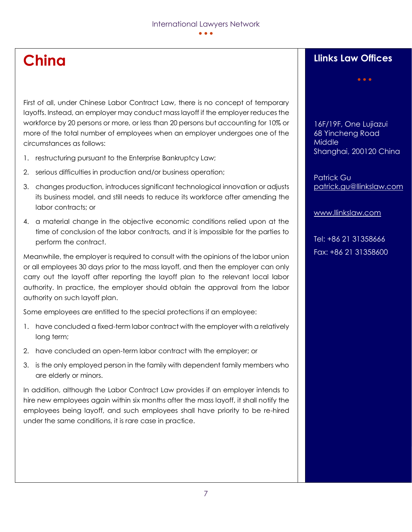### **China**

First of all, under Chinese Labor Contract Law, there is no concept of temporary layoffs. Instead, an employer may conduct mass layoff if the employer reduces the workforce by 20 persons or more, or less than 20 persons but accounting for 10% or more of the total number of employees when an employer undergoes one of the circumstances as follows:

- 1. restructuring pursuant to the Enterprise Bankruptcy Law;
- 2. serious difficulties in production and/or business operation;
- 3. changes production, introduces significant technological innovation or adjusts its business model, and still needs to reduce its workforce after amending the labor contracts; or
- 4. a material change in the objective economic conditions relied upon at the time of conclusion of the labor contracts, and it is impossible for the parties to perform the contract.

Meanwhile, the employer is required to consult with the opinions of the labor union or all employees 30 days prior to the mass layoff, and then the employer can only carry out the layoff after reporting the layoff plan to the relevant local labor authority. In practice, the employer should obtain the approval from the labor authority on such layoff plan.

Some employees are entitled to the special protections if an employee:

- 1. have concluded a fixed-term labor contract with the employer with a relatively long term;
- 2. have concluded an open-term labor contract with the employer; or
- 3. is the only employed person in the family with dependent family members who are elderly or minors.

In addition, although the Labor Contract Law provides if an employer intends to hire new employees again within six months after the mass layoff, it shall notify the employees being layoff, and such employees shall have priority to be re-hired under the same conditions, it is rare case in practice.

### **Llinks Law Offices**

16F/19F, One Lujiazui 68 Yincheng Road Middle Shanghai, 200120 China

Patrick Gu [patrick.gu@llinkslaw.com](mailto:patrick.gu@llinkslaw.com) 

[www.llinkslaw.com](http://www.llinkslaw.com/)

Tel: +86 21 31358666 Fax: +86 21 31358600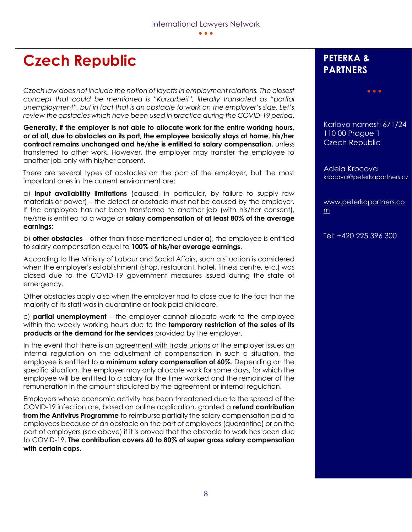## **Czech Republic**

*Czech law does not include the notion of layoffs in employment relations. The closest concept that could be mentioned is "Kurzarbeit", literally translated as "partial unemployment", but in fact that is an obstacle to work on the employer's side. Let's review the obstacles which have been used in practice during the COVID-19 period.*

**Generally, if the employer is not able to allocate work for the entire working hours, or at all, due to obstacles on its part, the employee basically stays at home, his/her contract remains unchanged and he/she is entitled to salary compensation**, unless transferred to other work. However, the employer may transfer the employee to another job only with his/her consent.

There are several types of obstacles on the part of the employer, but the most important ones in the current environment are:

a) **input availability limitations** (caused, in particular, by failure to supply raw materials or power) – the defect or obstacle must not be caused by the employer. If the employee has not been transferred to another job (with his/her consent), he/she is entitled to a wage or **salary compensation of at least 80% of the average earnings**;

b) **other obstacles** – other than those mentioned under a), the employee is entitled to salary compensation equal to **100% of his/her average earnings**.

According to the Ministry of Labour and Social Affairs, such a situation is considered when the employer's establishment (shop, restaurant, hotel, fitness centre, etc.) was closed due to the COVID-19 government measures issued during the state of emergency.

Other obstacles apply also when the employer had to close due to the fact that the majority of its staff was in quarantine or took paid childcare.

c) **partial unemployment** – the employer cannot allocate work to the employee within the weekly working hours due to the **temporary restriction of the sales of its products or the demand for the services** provided by the employer.

In the event that there is an agreement with trade unions or the employer issues an internal regulation on the adjustment of compensation in such a situation, the employee is entitled to **a minimum salary compensation of 60%**. Depending on the specific situation, the employer may only allocate work for some days, for which the employee will be entitled to a salary for the time worked and the remainder of the remuneration in the amount stipulated by the agreement or internal regulation.

Employers whose economic activity has been threatened due to the spread of the COVID-19 infection are, based on online application, granted a **refund contribution from the Antivirus Programme** to reimburse partially the salary compensation paid to employees because of an obstacle on the part of employees (quarantine) or on the part of employers (see above) if it is proved that the obstacle to work has been due to COVID-19. **The contribution covers 60 to 80% of super gross salary compensation with certain caps**.

### **PETERKA & PARTNERS**

Karlovo namesti 671/24 110 00 Prague 1 Czech Republic

• • •

Adela Krbcova [krbcova@peterkapartners.cz](mailto:krbcova@peterkapartners.cz)

[www.peterkapartners.co](http://www.peterkapartners.com/) [m](http://www.peterkapartners.com/)

Tel: +420 225 396 300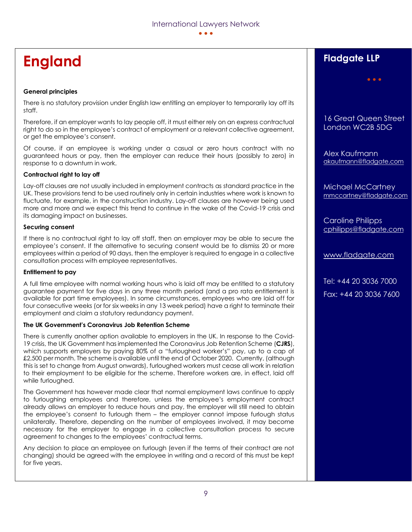# **England**

#### **General principles**

There is no statutory provision under English law entitling an employer to temporarily lay off its staff.

Therefore, if an employer wants to lay people off, it must either rely on an express contractual right to do so in the employee's contract of employment or a relevant collective agreement, or get the employee's consent.

Of course, if an employee is working under a casual or zero hours contract with no guaranteed hours or pay, then the employer can reduce their hours (possibly to zero) in response to a downturn in work.

#### **Contractual right to lay off**

Lay-off clauses are not usually included in employment contracts as standard practice in the UK. These provisions tend to be used routinely only in certain industries where work is known to fluctuate, for example, in the construction industry. Lay-off clauses are however being used more and more and we expect this trend to continue in the wake of the Covid-19 crisis and its damaging impact on businesses.

#### **Securing consent**

If there is no contractual right to lay off staff, then an employer may be able to secure the employee's consent. If the alternative to securing consent would be to dismiss 20 or more employees within a period of 90 days, then the employer is required to engage in a collective consultation process with employee representatives.

#### **Entitlement to pay**

A full time employee with normal working hours who is laid off may be entitled to a statutory guarantee payment for five days in any three month period (and a pro rata entitlement is available for part time employees). In some circumstances, employees who are laid off for four consecutive weeks (or for six weeks in any 13 week period) have a right to terminate their employment and claim a statutory redundancy payment.

#### **The UK Government's Coronavirus Job Retention Scheme**

There is currently another option available to employers in the UK. In response to the Covid-19 crisis, the UK Government has implemented the Coronavirus Job Retention Scheme (**CJRS**), which supports employers by paying 80% of a "furloughed worker's" pay, up to a cap of £2,500 per month. The scheme is available until the end of October 2020. Currently, (although this is set to change from August onwards), furloughed workers must cease all work in relation to their employment to be eligible for the scheme. Therefore workers are, in effect, laid off while furloughed.

The Government has however made clear that normal employment laws continue to apply to furloughing employees and therefore, unless the employee's employment contract already allows an employer to reduce hours and pay, the employer will still need to obtain the employee's consent to furlough them – the employer cannot impose furlough status unilaterally. Therefore, depending on the number of employees involved, it may become necessary for the employer to engage in a collective consultation process to secure agreement to changes to the employees' contractual terms.

Any decision to place an employee on furlough (even if the terms of their contract are not changing) should be agreed with the employee in writing and a record of this must be kept for five years.

### **Fladgate LLP**

16 Great Queen Street London WC2B 5DG

• • •

Alex Kaufmann [akaufmann@fladgate.com](mailto:akaufmann@fladgate.com)

Michael McCartney [mmccartney@fladgate.com](mailto:mmccartney@fladgate.com)

Caroline Philipps [cphilipps@fladgate.com](mailto:cphilipps@fladgate.com) 

[www.fladgate.com](http://www.fladgate.com/)

Tel: +44 20 3036 7000 Fax: +44 20 3036 7600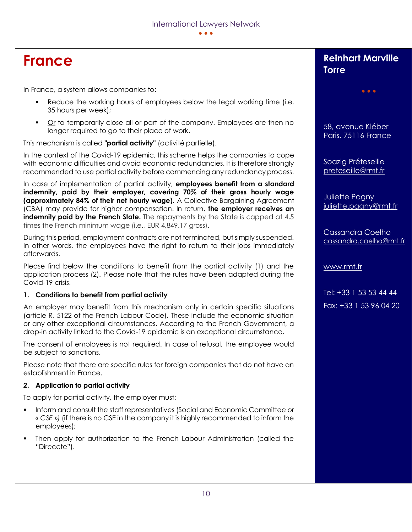## **France**

In France, a system allows companies to:

- **•** Reduce the working hours of employees below the legal working time (i.e. 35 hours per week);
- Or to temporarily close all or part of the company. Employees are then no longer required to go to their place of work.

This mechanism is called **"partial activity"** (activité partielle).

In the context of the Covid-19 epidemic, this scheme helps the companies to cope with economic difficulties and avoid economic redundancies. It is therefore strongly recommended to use partial activity before commencing any redundancy process.

In case of implementation of partial activity, **employees benefit from a standard indemnity, paid by their employer, covering 70% of their gross hourly wage (approximately 84% of their net hourly wage).** A Collective Bargaining Agreement (CBA) may provide for higher compensation. In return, **the employer receives an indemnity paid by the French State.** The repayments by the State is capped at 4.5 times the French minimum wage (i.e., EUR 4,849.17 gross).

During this period, employment contracts are not terminated, but simply suspended. In other words, the employees have the right to return to their jobs immediately afterwards.

Please find below the conditions to benefit from the partial activity (1) and the application process (2). Please note that the rules have been adapted during the Covid-19 crisis.

#### **1. Conditions to benefit from partial activity**

An employer may benefit from this mechanism only in certain specific situations (article R. 5122 of the French Labour Code). These include the economic situation or any other exceptional circumstances. According to the French Government, a drop-in activity linked to the Covid-19 epidemic is an exceptional circumstance.

The consent of employees is not required. In case of refusal, the employee would be subject to sanctions.

Please note that there are specific rules for foreign companies that do not have an establishment in France.

#### **2. Application to partial activity**

To apply for partial activity, the employer must:

- Inform and consult the staff representatives (Social and Economic Committee or « *CSE »)* (if there is no CSE in the company it is highly recommended to inform the employees);
- Then apply for authorization to the French Labour Administration (called the "Direccte").

### **Reinhart Marville Torre**

• • •

58, avenue Kléber Paris, 75116 France

Soazig Préteseille [preteseille@rmt.fr](mailto:preteseille@rmt.fr)

Juliette Pagny [juliette.pagny@rmt.fr](mailto:juliette.pagny@rmt.fr)

Cassandra Coelho [cassandra.coelho@rmt.fr](mailto:cassandra.coelho@rmt.fr)

[www.rmt.fr](http://www.rmt.fr/)

Tel: +33 1 53 53 44 44 Fax: +33 1 53 96 04 20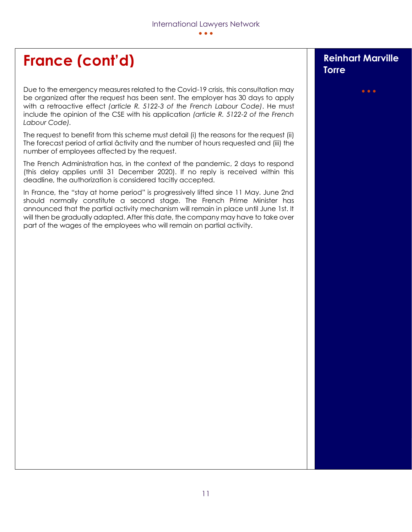# **France (cont'd) Reinhart Marville**

Due to the emergency measures related to the Covid-19 crisis, this consultation may be organized after the request has been sent. The employer has 30 days to apply with a retroactive effect *(article R. 5122-3 of the French Labour Code)*. He must include the opinion of the CSE with his application *(article R. 5122-2 of the French Labour Code).*

The request to benefit from this scheme must detail (i) the reasons for the request (ii) The forecast period of artial âctivity and the number of hours requested and (iii) the number of employees affected by the request.

The French Administration has, in the context of the pandemic, 2 days to respond (this delay applies until 31 December 2020). If no reply is received within this deadline, the authorization is considered tacitly accepted.

In France, the "stay at home period" is progressively lifted since 11 May. June 2nd should normally constitute a second stage. The French Prime Minister has announced that the partial activity mechanism will remain in place until June 1st. It will then be gradually adapted. After this date, the company may have to take over part of the wages of the employees who will remain on partial activity.

# **Torre**

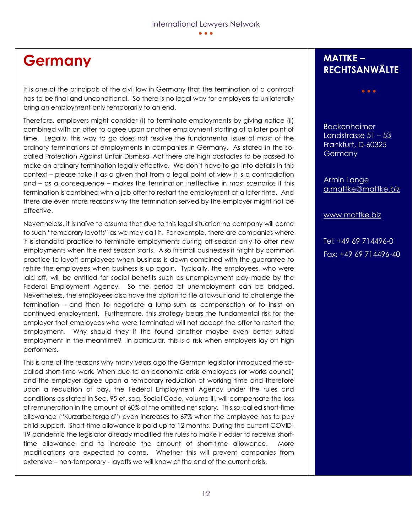### **Germany**

It is one of the principals of the civil law in Germany that the termination of a contract has to be final and unconditional. So there is no legal way for employers to unilaterally bring an employment only temporarily to an end.

Therefore, employers might consider (i) to terminate employments by giving notice (ii) combined with an offer to agree upon another employment starting at a later point of time. Legally, this way to go does not resolve the fundamental issue of most of the ordinary terminations of employments in companies in Germany. As stated in the socalled Protection Against Unfair Dismissal Act there are high obstacles to be passed to make an ordinary termination legally effective. We don't have to go into details in this context – please take it as a given that from a legal point of view it is a contradiction and – as a consequence – makes the termination ineffective in most scenarios if this termination is combined with a job offer to restart the employment at a later time. And there are even more reasons why the termination served by the employer might not be effective.

Nevertheless, it is naïve to assume that due to this legal situation no company will come to such "temporary layoffs" as we may call it. For example, there are companies where it is standard practice to terminate employments during off-season only to offer new employments when the next season starts. Also in small businesses it might by common practice to layoff employees when business is down combined with the guarantee to rehire the employees when business is up again. Typically, the employees, who were laid off, will be entitled for social benefits such as unemployment pay made by the Federal Employment Agency. So the period of unemployment can be bridged. Nevertheless, the employees also have the option to file a lawsuit and to challenge the termination – and then to negotiate a lump-sum as compensation or to insist on continued employment. Furthermore, this strategy bears the fundamental risk for the employer that employees who were terminated will not accept the offer to restart the employment. Why should they if the found another maybe even better suited employment in the meantime? In particular, this is a risk when employers lay off high performers.

This is one of the reasons why many years ago the German legislator introduced the socalled short-time work. When due to an economic crisis employees (or works council) and the employer agree upon a temporary reduction of working time and therefore upon a reduction of pay, the Federal Employment Agency under the rules and conditions as stated in Sec. 95 et. seq. Social Code, volume III, will compensate the loss of remuneration in the amount of 60% of the omitted net salary. This so-called short-time allowance ("Kurzarbeitergeld") even increases to 67% when the employee has to pay child support. Short-time allowance is paid up to 12 months. During the current COVID-19 pandemic the legislator already modified the rules to make it easier to receive shorttime allowance and to increase the amount of short-time allowance. More modifications are expected to come. Whether this will prevent companies from extensive – non-temporary - layoffs we will know at the end of the current crisis.

#### **MATTKE – RECHTSANWÄLTE**

• • •

Bockenheimer Landstrasse 51 – 53 Frankfurt, D-60325 **Germany** 

Armin Lange [a.mattke@mattke.biz](mailto:a.mattke@mattke.biz)

[www.mattke.biz](http://www.mattke.biz/)

Tel: +49 69 714496-0 Fax: +49 69 714496-40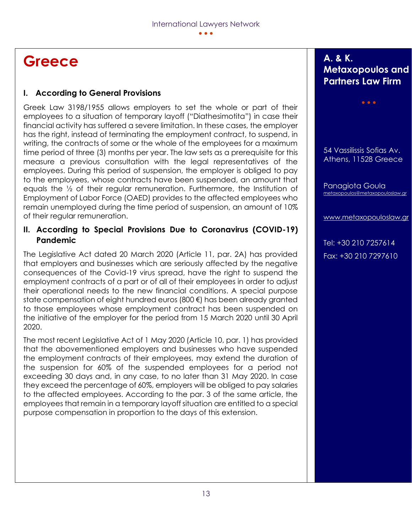## **Greece**

#### **I. According to General Provisions**

Greek Law 3198/1955 allows employers to set the whole or part of their employees to a situation of temporary layoff ("Diathesimotita") in case their financial activity has suffered a severe limitation. In these cases, the employer has the right, instead of terminating the employment contract, to suspend, in writing, the contracts of some or the whole of the employees for a maximum time period of three (3) months per year. The law sets as a prerequisite for this measure a previous consultation with the legal representatives of the employees. During this period of suspension, the employer is obliged to pay to the employees, whose contracts have been suspended, an amount that equals the ½ of their regular remuneration. Furthermore, the Institution of Employment of Labor Force (OAED) provides to the affected employees who remain unemployed during the time period of suspension, an amount of 10% of their regular remuneration.

#### **II. According to Special Provisions Due to Coronavirus (COVID-19) Pandemic**

The Legislative Act dated 20 March 2020 (Article 11, par. 2A) has provided that employers and businesses which are seriously affected by the negative consequences of the Covid-19 virus spread, have the right to suspend the employment contracts of a part or of all of their employees in order to adjust their operational needs to the new financial conditions. A special purpose state compensation of eight hundred euros (800 €) has been already granted to those employees whose employment contract has been suspended on the initiative of the employer for the period from 15 March 2020 until 30 April 2020.

The most recent Legislative Act of 1 May 2020 (Article 10, par. 1) has provided that the abovementioned employers and businesses who have suspended the employment contracts of their employees, may extend the duration of the suspension for 60% of the suspended employees for a period not exceeding 30 days and, in any case, to no later than 31 May 2020. In case they exceed the percentage of 60%, employers will be obliged to pay salaries to the affected employees. According to the par. 3 of the same article, the employees that remain in a temporary layoff situation are entitled to a special purpose compensation in proportion to the days of this extension.

### **A. & K. Metaxopoulos and Partners Law Firm**

• • •

54 Vassilissis Sofias Av. Athens, 11528 Greece

Panagiota Goula [metaxopoulos@metaxopouloslaw.gr](mailto:metaxopoulos@metaxopouloslaw.gr) 

[www.metaxopouloslaw.gr](http://www.metaxopouloslaw.gr/)

Tel: +30 210 7257614 Fax: +30 210 7297610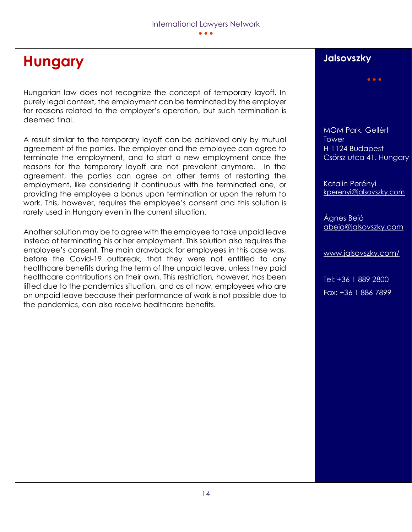# **Hungary**

Hungarian law does not recognize the concept of temporary layoff. In purely legal context, the employment can be terminated by the employer for reasons related to the employer's operation, but such termination is deemed final.

A result similar to the temporary layoff can be achieved only by mutual agreement of the parties. The employer and the employee can agree to terminate the employment, and to start a new employment once the reasons for the temporary layoff are not prevalent anymore. In the agreement, the parties can agree on other terms of restarting the employment, like considering it continuous with the terminated one, or providing the employee a bonus upon termination or upon the return to work. This, however, requires the employee's consent and this solution is rarely used in Hungary even in the current situation.

Another solution may be to agree with the employee to take unpaid leave instead of terminating his or her employment. This solution also requires the employee's consent. The main drawback for employees in this case was, before the Covid-19 outbreak, that they were not entitled to any healthcare benefits during the term of the unpaid leave, unless they paid healthcare contributions on their own. This restriction, however, has been lifted due to the pandemics situation, and as at now, employees who are on unpaid leave because their performance of work is not possible due to the pandemics, can also receive healthcare benefits.

### **Jalsovszky**

MOM Park, Gellért **Tower** H-1124 Budapest Csörsz utca 41. Hungary

• • •

Katalin Perényi [kperenyi@jalsovszky.com](mailto:kperenyi@jalsovszky.com)

Ágnes Bejó [abejo@jalsovszky.com](mailto:abejo@jalsovszky.com)

[www.jalsovszky.com/](http://www.jalsovszky.com/)

Tel: +36 1 889 2800 Fax: +36 1 886 7899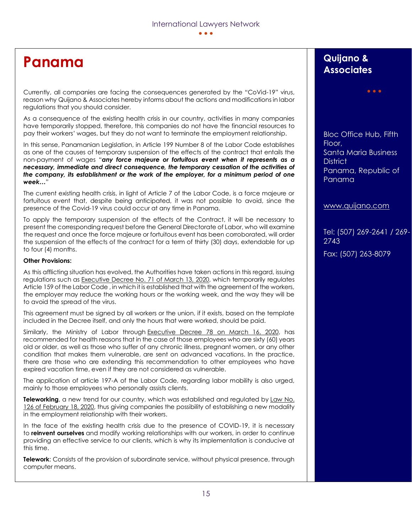## **Panama**

Currently, all companies are facing the consequences generated by the "CoVid-19" virus, reason why Quijano & Associates hereby informs about the actions and modifications in labor regulations that you should consider.

As a consequence of the existing health crisis in our country, activities in many companies have temporarily stopped, therefore, this companies do not have the financial resources to pay their workers' wages, but they do not want to terminate the employment relationship.

In this sense, Panamanian Legislation, in Article 199 Number 8 of the Labor Code establishes as one of the causes of temporary suspension of the effects of the contract that entails the non-payment of wages "*any force majeure or fortuitous event when it represents as a necessary, immediate and direct consequence, the temporary cessation of the activities of the company, its establishment or the work of the employer, for a minimum period of one week…*"

The current existing health crisis, in light of Article 7 of the Labor Code, is a force majeure or fortuitous event that, despite being anticipated, it was not possible to avoid, since the presence of the Covid-19 virus could occur at any time in Panama.

To apply the temporary suspension of the effects of the Contract, it will be necessary to present the corresponding request before the General Directorate of Labor, who will examine the request and once the force majeure or fortuitous event has been corroborated, will order the suspension of the effects of the contract for a term of thirty (30) days, extendable for up to four (4) months.

#### **Other Provisions:**

As this afflicting situation has evolved, the Authorities have taken actions in this regard, issuing regulations such as [Executive](https://www.quijano.com/wp-content/uploads/2020/03/DECRETO-71-REGLAMENTA-ART-159-DEL-CODIGO-LABORAL-JORNADA-LABORAL.pdf) Decree No. 71 of March 13, 2020, which temporarily regulates Article 159 of the Labor Code , in which it is established that with the agreement of the workers, the employer may reduce the working hours or the working week, and the way they will be to avoid the spread of the virus.

This agreement must be signed by all workers or the union, if it exists, based on the template included in the Decree itself, and only the hours that were worked, should be paid.

Similarly, the Ministry of Labor through [Executive](https://www.quijano.com/wp-content/uploads/2020/03/DECRETO-78-DE-16-DE-MARZO-DE-2020-MEDIDAS-LABORALES-EMPLEADOS-VULNERABLES.pdf) Decree 78 on March 16, 2020, has recommended for health reasons that in the case of those employees who are sixty (60) years old or older, as well as those who suffer of any chronic illness, pregnant women, or any other condition that makes them vulnerable, are sent on advanced vacations. In the practice, there are those who are extending this recommendation to other employees who have expired vacation time, even if they are not considered as vulnerable.

The application of article 197-A of the Labor Code, regarding labor mobility is also urged, mainly to those employees who personally assists clients.

**Teleworking**, a new trend for our country, which was established and regulated by [Law](https://www.quijano.com/wp-content/uploads/2020/03/TELETRABAJO-LEY-126-DE-18-DE-FEBRERO-DE-2020.pdf) No. 126 of [February](https://www.quijano.com/wp-content/uploads/2020/03/TELETRABAJO-LEY-126-DE-18-DE-FEBRERO-DE-2020.pdf) 18, 2020, thus giving companies the possibility of establishing a new modality in the employment relationship with their workers.

In the face of the existing health crisis due to the presence of COVID-19, it is necessary to **reinvent ourselves** and modify working relationships with our workers, in order to continue providing an effective service to our clients, which is why its implementation is conducive at this time.

**Telework**: Consists of the provision of subordinate service, without physical presence, through computer means.

#### **Quijano & Associates**

Bloc Office Hub, Fifth Floor, Santa Maria Business **District** Panama, Republic of Panama

• • •

[www.quijano.com](http://www.quijano.com/)

Tel: (507) 269-2641 / 269- 2743 Fax: (507) 263-8079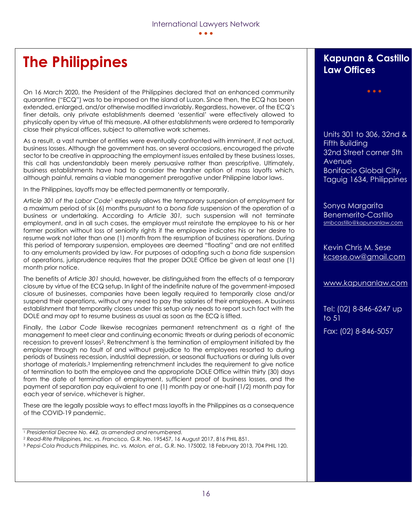# **The Philippines**

On 16 March 2020, the President of the Philippines declared that an enhanced community quarantine ("ECQ") was to be imposed on the island of Luzon. Since then, the ECQ has been extended, enlarged, and/or otherwise modified invariably. Regardless, however, of the ECQ's finer details, only private establishments deemed 'essential' were effectively allowed to physically open by virtue of this measure. All other establishments were ordered to temporarily close their physical offices, subject to alternative work schemes.

As a result, a vast number of entities were eventually confronted with imminent, if not actual, business losses. Although the government has, on several occasions, encouraged the private sector to be creative in approaching the employment issues entailed by these business losses, this call has understandably been merely persuasive rather than prescriptive. Ultimately, business establishments have had to consider the harsher option of mass layoffs which, although painful, remains a viable management prerogative under Philippine labor laws.

In the Philippines, layoffs may be effected permanently or temporarily.

*Article 301 of the Labor Code*<sup>1</sup> expressly allows the temporary suspension of employment for a maximum period of six (6) months pursuant to a *bona fide* suspension of the operation of a business or undertaking. According to *Article 301,* such suspension will not terminate employment, and in all such cases, the employer must reinstate the employee to his or her former position without loss of seniority rights if the employee indicates his or her desire to resume work not later than one (1) month from the resumption of business operations. During this period of temporary suspension, employees are deemed "floating" and are not entitled to any emoluments provided by law. For purposes of adopting such a *bona fide* suspension of operations, jurisprudence requires that the proper DOLE Office be given at least one (1) month prior notice.

The benefits of *Article 301* should, however, be distinguished from the effects of a temporary closure by virtue of the ECQ setup. In light of the indefinite nature of the government-imposed closure of businesses, companies have been legally required to temporarily close and/or suspend their operations, without any need to pay the salaries of their employees. A business establishment that temporarily closes under this setup only needs to report such fact with the DOLE and may opt to resume business as usual as soon as the ECQ is lifted.

Finally, the *Labor Code* likewise recognizes permanent retrenchment as a right of the management to meet clear and continuing economic threats or during periods of economic recession to prevent losses2. Retrenchment is the termination of employment initiated by the employer through no fault of and without prejudice to the employees resorted to during periods of business recession, industrial depression, or seasonal fluctuations or during lulls over shortage of materials.<sup>3</sup> Implementing retrenchment includes the requirement to give notice of termination to both the employee and the appropriate DOLE Office within thirty (30) days from the date of termination of employment, sufficient proof of business losses, and the payment of separation pay equivalent to one (1) month pay or one-half (1/2) month pay for each year of service, whichever is higher.

These are the legally possible ways to effect mass layoffs in the Philippines as a consequence of the COVID-19 pandemic.

#### **Kapunan & Castillo Law Offices**

• • •

Units 301 to 306, 32nd & Fifth Building 32nd Street corner 5th **Avenue** Bonifacio Global City, Taguig 1634, Philippines

Sonya Margarita Benemerito-Castillo [smbcastillo@kapunanlaw.com](mailto:smbcastillo@kapunanlaw.com)

Kevin Chris M. Sese [kcsese.ow@gmail.com](mailto:kcsese.ow@gmail.com)

[www.kapunanlaw.com](http://www.kapunanlaw.com/)

Tel: (02) 8-846-6247 up to 51 Fax: (02) 8-846-5057

<sup>1</sup> *Presidential Decree No. 442, as amended and renumbered.*

<sup>2</sup> *Read-Rite Philippines, Inc. vs. Francisco,* G.R. No. 195457, 16 August 2017, 816 PHIL 851.

<sup>3</sup> *Pepsi-Cola Products Philippines, Inc. vs. Molon, et al.,* G.R. No. 175002, 18 February 2013, 704 PHIL 120.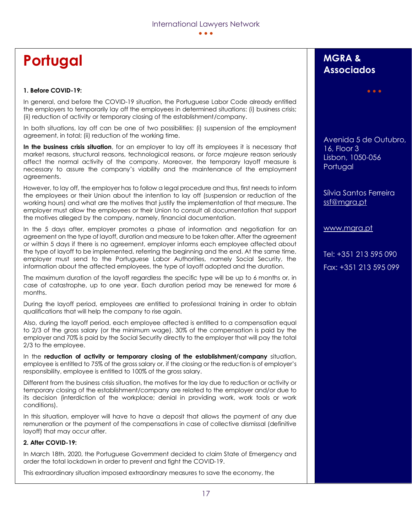# **Portugal**

#### **1. Before COVID-19:**

In general, and before the COVID-19 situation, the Portuguese Labor Code already entitled the employers to temporarily lay off the employees in determined situations: (i) business crisis; (ii) reduction of activity or temporary closing of the establishment/company.

In both situations, lay off can be one of two possibilities: (i) suspension of the employment agreement, in total; (ii) reduction of the working time.

**In the business crisis situation**, for an employer to lay off its employees it is necessary that market reasons, structural reasons, technological reasons, or *force majeure* reason seriously affect the normal activity of the company. Moreover, the temporary layoff measure is necessary to assure the company's viability and the maintenance of the employment agreements.

However, to lay off, the employer has to follow a legal procedure and thus, first needs to inform the employees or their Union about the intention to lay off (suspension or reduction of the working hours) and what are the motives that justify the implementation of that measure. The employer must allow the employees or their Union to consult all documentation that support the motives alleged by the company, namely, financial documentation.

In the 5 days after, employer promotes a phase of information and negotiation for an agreement on the type of layoff, duration and measure to be taken after. After the agreement or within 5 days if there is no agreement, employer informs each employee affected about the type of layoff to be implemented, referring the beginning and the end. At the same time, employer must send to the Portuguese Labor Authorities, namely Social Security, the information about the affected employees, the type of layoff adopted and the duration.

The maximum duration of the layoff regardless the specific type will be up to 6 months or, in case of catastrophe, up to one year. Each duration period may be renewed for more 6 months.

During the layoff period, employees are entitled to professional training in order to obtain qualifications that will help the company to rise again.

Also, during the layoff period, each employee affected is entitled to a compensation equal to 2/3 of the gross salary (or the minimum wage). 30% of the compensation is paid by the employer and 70% is paid by the Social Security directly to the employer that will pay the total 2/3 to the employee.

In the **reduction of activity or temporary closing of the establishment/company** situation, employee is entitled to 75% of the gross salary or, if the closing or the reduction is of employer's responsibility, employee is entitled to 100% of the gross salary.

Different from the business crisis situation, the motives for the lay due to reduction or activity or temporary closing of the establishment/company are related to the employer and/or due to its decision (interdiction of the workplace; denial in providing work, work tools or work conditions).

In this situation, employer will have to have a deposit that allows the payment of any due remuneration or the payment of the compensations in case of collective dismissal (definitive layoff) that may occur after.

#### **2. After COVID-19:**

In March 18th, 2020, the Portuguese Government decided to claim State of Emergency and order the total lockdown in order to prevent and fight the COVID-19.

This extraordinary situation imposed extraordinary measures to save the economy, the

### **MGRA & Associados**

Avenida 5 de Outubro, 16, Floor 3 Lisbon, 1050-056 **Portugal** 

• • •

Sílvia Santos Ferreira [ssf@mgra.pt](mailto:ssf@mgra.pt)

[www.mgra.pt](http://www.mgra.pt/)

Tel: +351 213 595 090 Fax: +351 213 595 099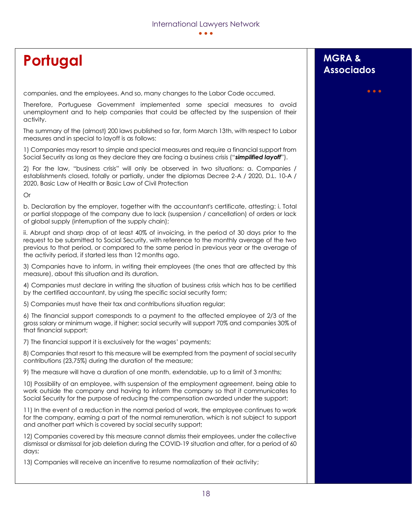# **Portugal MGRA** &

companies, and the employees. And so, many changes to the Labor Code occurred.

Therefore, Portuguese Government implemented some special measures to avoid unemployment and to help companies that could be affected by the suspension of their activity.

The summary of the (almost) 200 laws published so far, form March 13th, with respect to Labor measures and in special to layoff is as follows:

1) Companies may resort to simple and special measures and require a financial support from Social Security as long as they declare they are facing a business crisis ("*simplified layoff*").

2) For the law, "business crisis" will only be observed in two situations: a. Companies / establishments closed, totally or partially, under the diplomas Decree 2-A / 2020, D.L. 10-A / 2020, Basic Law of Health or Basic Law of Civil Protection

Or

b. Declaration by the employer, together with the accountant's certificate, attesting: i. Total or partial stoppage of the company due to lack (suspension / cancellation) of orders or lack of global supply (interruption of the supply chain);

ii. Abrupt and sharp drop of at least 40% of invoicing, in the period of 30 days prior to the request to be submitted to Social Security, with reference to the monthly average of the two previous to that period, or compared to the same period in previous year or the average of the activity period, if started less than 12 months ago.

3) Companies have to inform, in writing their employees (the ones that are affected by this measure), about this situation and its duration.

4) Companies must declare in writing the situation of business crisis which has to be certified by the certified accountant, by using the specific social security form;

5) Companies must have their tax and contributions situation regular;

6) The financial support corresponds to a payment to the affected employee of 2/3 of the gross salary or minimum wage, if higher; social security will support 70% and companies 30% of that financial support;

7) The financial support it is exclusively for the wages' payments;

8) Companies that resort to this measure will be exempted from the payment of social security contributions (23,75%) during the duration of the measure;

9) The measure will have a duration of one month, extendable, up to a limit of 3 months;

10) Possibility of an employee, with suspension of the employment agreement, being able to work outside the company and having to inform the company so that it communicates to Social Security for the purpose of reducing the compensation awarded under the support;

11) In the event of a reduction in the normal period of work, the employee continues to work for the company, earning a part of the normal remuneration, which is not subject to support and another part which is covered by social security support;

12) Companies covered by this measure cannot dismiss their employees, under the collective dismissal or dismissal for job deletion during the COVID-19 situation and after, for a period of 60 days;

13) Companies will receive an incentive to resume normalization of their activity;

# **Associados**

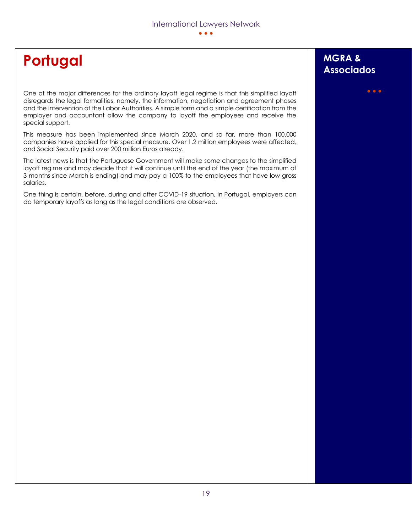# **Portugal MGRA** &

One of the major differences for the ordinary layoff legal regime is that this simplified layoff disregards the legal formalities, namely, the information, negotiation and agreement phases and the intervention of the Labor Authorities. A simple form and a simple certification from the employer and accountant allow the company to layoff the employees and receive the special support.

This measure has been implemented since March 2020, and so far, more than 100.000 companies have applied for this special measure. Over 1.2 million employees were affected, and Social Security paid over 200 million Euros already.

The latest news is that the Portuguese Government will make some changes to the simplified layoff regime and may decide that it will continue until the end of the year (the maximum of 3 months since March is ending) and may pay a 100% to the employees that have low gross salaries.

One thing is certain, before, during and after COVID-19 situation, in Portugal, employers can do temporary layoffs as long as the legal conditions are observed.

# **Associados**

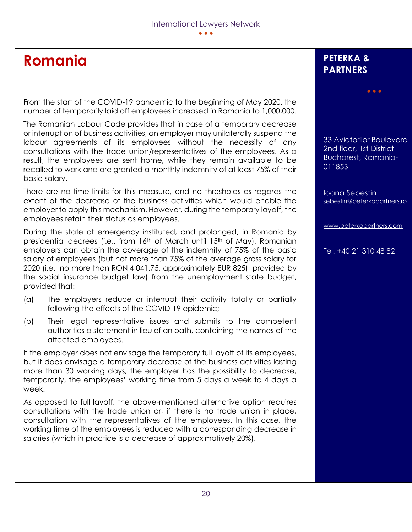## **Romania**

From the start of the COVID-19 pandemic to the beginning of May 2020, the number of temporarily laid off employees increased in Romania to 1,000,000.

The Romanian Labour Code provides that in case of a temporary decrease or interruption of business activities, an employer may unilaterally suspend the labour agreements of its employees without the necessity of any consultations with the trade union/representatives of the employees. As a result, the employees are sent home, while they remain available to be recalled to work and are granted a monthly indemnity of at least 75% of their basic salary.

There are no time limits for this measure, and no thresholds as regards the extent of the decrease of the business activities which would enable the employer to apply this mechanism. However, during the temporary layoff, the employees retain their status as employees.

During the state of emergency instituted, and prolonged, in Romania by presidential decrees (i.e., from 16th of March until 15th of May), Romanian employers can obtain the coverage of the indemnity of 75% of the basic salary of employees (but not more than 75% of the average gross salary for 2020 (i.e., no more than RON 4,041.75, approximately EUR 825), provided by the social insurance budget law) from the unemployment state budget, provided that:

- (a) The employers reduce or interrupt their activity totally or partially following the effects of the COVID-19 epidemic;
- (b) Their legal representative issues and submits to the competent authorities a statement in lieu of an oath, containing the names of the affected employees.

If the employer does not envisage the temporary full layoff of its employees, but it does envisage a temporary decrease of the business activities lasting more than 30 working days, the employer has the possibility to decrease, temporarily, the employees' working time from 5 days a week to 4 days a week.

As opposed to full layoff, the above-mentioned alternative option requires consultations with the trade union or, if there is no trade union in place, consultation with the representatives of the employees. In this case, the working time of the employees is reduced with a corresponding decrease in salaries (which in practice is a decrease of approximatively 20%).

### **PETERKA & PARTNERS**

33 Aviatorilor Boulevard 2nd floor, 1st District Bucharest, Romania-011853

• • •

Ioana Sebestin [sebestin@peterkapartners.ro](mailto:sebestin@peterkapartners.ro)

[www.peterkapartners.com](http://www.peterkapartners.com/)

Tel: +40 21 310 48 82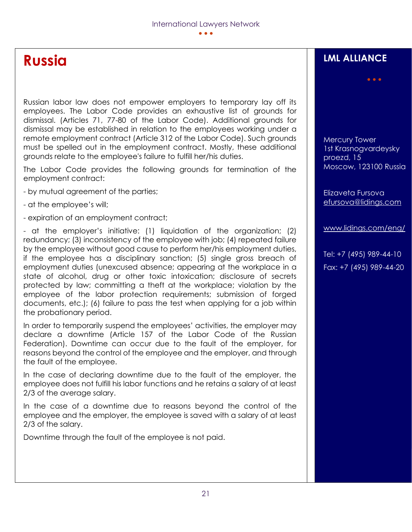# **Russia**

Russian labor law does not empower employers to temporary lay off its employees. The Labor Code provides an exhaustive list of grounds for dismissal. (Articles 71, 77-80 of the Labor Code). Additional grounds for dismissal may be established in relation to the employees working under a remote employment contract (Article 312 of the Labor Code). Such grounds must be spelled out in the employment contract. Mostly, these additional grounds relate to the employee's failure to fulfill her/his duties.

The Labor Code provides the following grounds for termination of the employment contract:

- by mutual agreement of the parties;
- at the employee's will;
- expiration of an employment contract;

- at the employer's initiative: (1) liquidation of the organization; (2) redundancy; (3) inconsistency of the employee with job; (4) repeated failure by the employee without good cause to perform her/his employment duties, if the employee has a disciplinary sanction; (5) single gross breach of employment duties (unexcused absence; appearing at the workplace in a state of alcohol, drug or other toxic intoxication; disclosure of secrets protected by law; committing a theft at the workplace; violation by the employee of the labor protection requirements; submission of forged documents, etc.); (6) failure to pass the test when applying for a job within the probationary period.

In order to temporarily suspend the employees' activities, the employer may declare a downtime (Article 157 of the Labor Code of the Russian Federation). Downtime can occur due to the fault of the employer, for reasons beyond the control of the employee and the employer, and through the fault of the employee.

In the case of declaring downtime due to the fault of the employer, the employee does not fulfill his labor functions and he retains a salary of at least 2/3 of the average salary.

In the case of a downtime due to reasons beyond the control of the employee and the employer, the employee is saved with a salary of at least 2/3 of the salary.

Downtime through the fault of the employee is not paid.

### **LML ALLIANCE**

• • •

Mercury Tower 1st Krasnogvardeysky proezd, 15 Moscow, 123100 Russia

Elizaveta Fursova [efursova@lidings.com](mailto:efursova@lidings.com)

[www.lidings.com/eng/](http://www.lidings.com/eng/)

Tel: +7 (495) 989-44-10 Fax: +7 (495) 989-44-20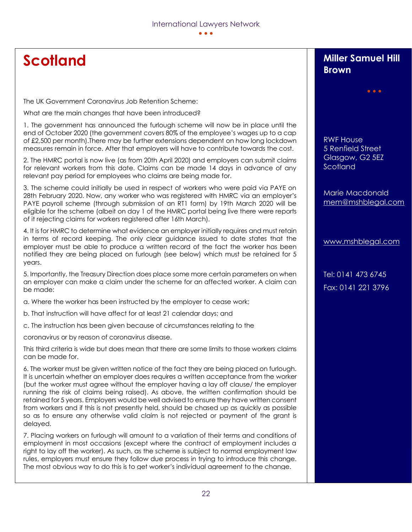# **Scotland**

The UK Government Coronavirus Job Retention Scheme:

What are the main changes that have been introduced?

1. The government has announced the furlough scheme will now be in place until the end of October 2020 (the government covers 80% of the employee's wages up to a cap of £2,500 per month).There may be further extensions dependent on how long lockdown measures remain in force. After that employers will have to contribute towards the cost.

2. The HMRC portal is now live (as from 20th April 2020) and employers can submit claims for relevant workers from this date. Claims can be made 14 days in advance of any relevant pay period for employees who claims are being made for.

3. The scheme could initially be used in respect of workers who were paid via PAYE on 28th February 2020. Now, any worker who was registered with HMRC via an employer's PAYE payroll scheme (through submission of an RT1 form) by 19th March 2020 will be eligible for the scheme (albeit on day 1 of the HMRC portal being live there were reports of it rejecting claims for workers registered after 16th March).

4. It is for HMRC to determine what evidence an employer initially requires and must retain in terms of record keeping. The only clear guidance issued to date states that the employer must be able to produce a written record of the fact the worker has been notified they are being placed on furlough (see below) which must be retained for 5 years.

5. Importantly, the Treasury Direction does place some more certain parameters on when an employer can make a claim under the scheme for an affected worker. A claim can be made:

a. Where the worker has been instructed by the employer to cease work;

- b. That instruction will have affect for at least 21 calendar days; and
- c. The instruction has been given because of circumstances relating to the

coronavirus or by reason of coronavirus disease.

This third criteria is wide but does mean that there are some limits to those workers claims can be made for.

6. The worker must be given written notice of the fact they are being placed on furlough. It is uncertain whether an employer does requires a written acceptance from the worker (but the worker must agree without the employer having a lay off clause/ the employer running the risk of claims being raised). As above, the written confirmation should be retained for 5 years. Employers would be well advised to ensure they have written consent from workers and if this is not presently held, should be chased up as quickly as possible so as to ensure any otherwise valid claim is not rejected or payment of the grant is delayed.

7. Placing workers on furlough will amount to a variation of their terms and conditions of employment in most occasions (except where the contract of employment includes a right to lay off the worker). As such, as the scheme is subject to normal employment law rules, employers must ensure they follow due process in trying to introduce this change. The most obvious way to do this is to get worker's individual agreement to the change.

### **Miller Samuel Hill Brown**

• • •

RWF House 5 Renfield Street Glasgow, G2 5EZ **Scotland** 

Marie Macdonald [mem@mshblegal.com](mailto:mem@mshblegal.com)

[www.mshblegal.com](http://www.mshblegal.com/)

Tel: 0141 473 6745 Fax: 0141 221 3796